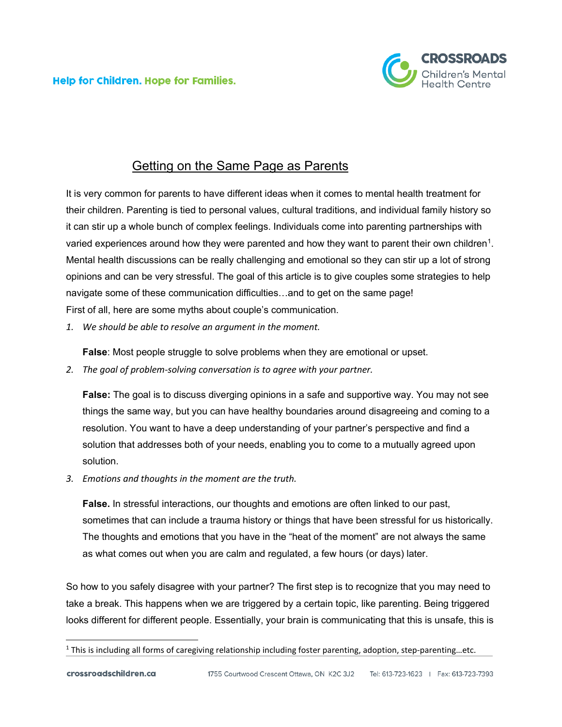**Help for Children. Hope for Families.** 



## Getting on the Same Page as Parents

It is very common for parents to have different ideas when it comes to mental health treatment for their children. Parenting is tied to personal values, cultural traditions, and individual family history so it can stir up a whole bunch of complex feelings. Individuals come into parenting partnerships with varied experiences around how they were parented and how they want to parent their own children<sup>1</sup>. Mental health discussions can be really challenging and emotional so they can stir up a lot of strong opinions and can be very stressful. The goal of this article is to give couples some strategies to help navigate some of these communication difficulties…and to get on the same page! First of all, here are some myths about couple's communication.

*1. We should be able to resolve an argument in the moment.*

**False**: Most people struggle to solve problems when they are emotional or upset.

*2. The goal of problem-solving conversation is to agree with your partner.*

**False:** The goal is to discuss diverging opinions in a safe and supportive way. You may not see things the same way, but you can have healthy boundaries around disagreeing and coming to a resolution. You want to have a deep understanding of your partner's perspective and find a solution that addresses both of your needs, enabling you to come to a mutually agreed upon solution.

*3. Emotions and thoughts in the moment are the truth.*

**False.** In stressful interactions, our thoughts and emotions are often linked to our past, sometimes that can include a trauma history or things that have been stressful for us historically. The thoughts and emotions that you have in the "heat of the moment" are not always the same as what comes out when you are calm and regulated, a few hours (or days) later.

So how to you safely disagree with your partner? The first step is to recognize that you may need to take a break. This happens when we are triggered by a certain topic, like parenting. Being triggered looks different for different people. Essentially, your brain is communicating that this is unsafe, this is

<span id="page-0-0"></span><sup>1</sup> This is including all forms of caregiving relationship including foster parenting, adoption, step-parenting…etc.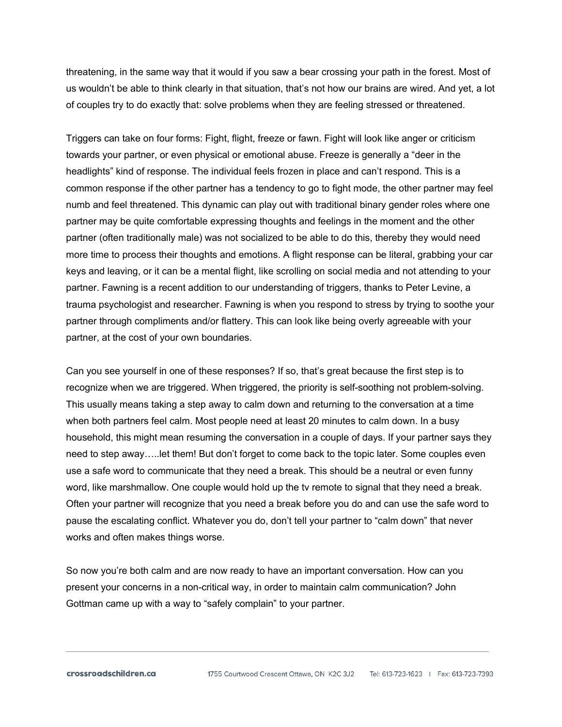threatening, in the same way that it would if you saw a bear crossing your path in the forest. Most of us wouldn't be able to think clearly in that situation, that's not how our brains are wired. And yet, a lot of couples try to do exactly that: solve problems when they are feeling stressed or threatened.

Triggers can take on four forms: Fight, flight, freeze or fawn. Fight will look like anger or criticism towards your partner, or even physical or emotional abuse. Freeze is generally a "deer in the headlights" kind of response. The individual feels frozen in place and can't respond. This is a common response if the other partner has a tendency to go to fight mode, the other partner may feel numb and feel threatened. This dynamic can play out with traditional binary gender roles where one partner may be quite comfortable expressing thoughts and feelings in the moment and the other partner (often traditionally male) was not socialized to be able to do this, thereby they would need more time to process their thoughts and emotions. A flight response can be literal, grabbing your car keys and leaving, or it can be a mental flight, like scrolling on social media and not attending to your partner. Fawning is a recent addition to our understanding of triggers, thanks to Peter Levine, a trauma psychologist and researcher. Fawning is when you respond to stress by trying to soothe your partner through compliments and/or flattery. This can look like being overly agreeable with your partner, at the cost of your own boundaries.

Can you see yourself in one of these responses? If so, that's great because the first step is to recognize when we are triggered. When triggered, the priority is self-soothing not problem-solving. This usually means taking a step away to calm down and returning to the conversation at a time when both partners feel calm. Most people need at least 20 minutes to calm down. In a busy household, this might mean resuming the conversation in a couple of days. If your partner says they need to step away…..let them! But don't forget to come back to the topic later. Some couples even use a safe word to communicate that they need a break. This should be a neutral or even funny word, like marshmallow. One couple would hold up the tv remote to signal that they need a break. Often your partner will recognize that you need a break before you do and can use the safe word to pause the escalating conflict. Whatever you do, don't tell your partner to "calm down" that never works and often makes things worse.

So now you're both calm and are now ready to have an important conversation. How can you present your concerns in a non-critical way, in order to maintain calm communication? John Gottman came up with a way to "safely complain" to your partner.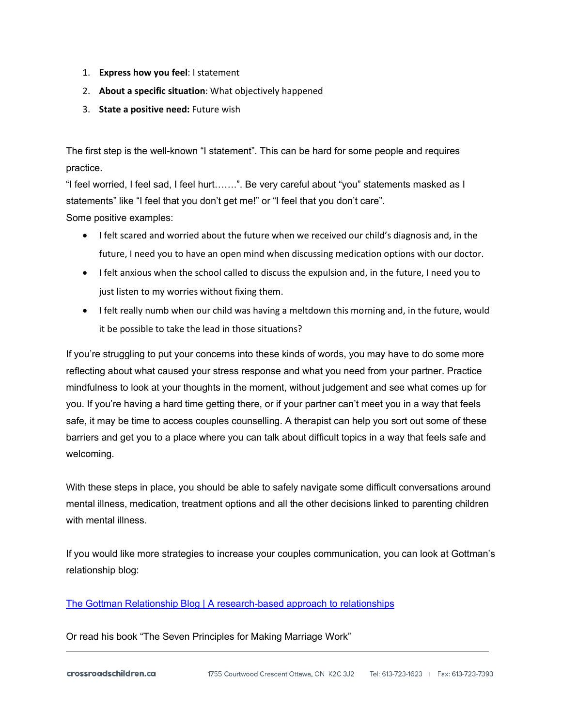- 1. **Express how you feel**: I statement
- 2. **About a specific situation**: What objectively happened
- 3. **State a positive need:** Future wish

The first step is the well-known "I statement". This can be hard for some people and requires practice.

"I feel worried, I feel sad, I feel hurt…….". Be very careful about "you" statements masked as I statements" like "I feel that you don't get me!" or "I feel that you don't care". Some positive examples:

- I felt scared and worried about the future when we received our child's diagnosis and, in the future, I need you to have an open mind when discussing medication options with our doctor.
- I felt anxious when the school called to discuss the expulsion and, in the future, I need you to just listen to my worries without fixing them.
- I felt really numb when our child was having a meltdown this morning and, in the future, would it be possible to take the lead in those situations?

If you're struggling to put your concerns into these kinds of words, you may have to do some more reflecting about what caused your stress response and what you need from your partner. Practice mindfulness to look at your thoughts in the moment, without judgement and see what comes up for you. If you're having a hard time getting there, or if your partner can't meet you in a way that feels safe, it may be time to access couples counselling. A therapist can help you sort out some of these barriers and get you to a place where you can talk about difficult topics in a way that feels safe and welcoming.

With these steps in place, you should be able to safely navigate some difficult conversations around mental illness, medication, treatment options and all the other decisions linked to parenting children with mental illness.

If you would like more strategies to increase your couples communication, you can look at Gottman's relationship blog:

## [The Gottman Relationship Blog | A research-based approach to relationships](https://www.gottman.com/blog/)

Or read his book "The Seven Principles for Making Marriage Work"

crossroadschildren.ca